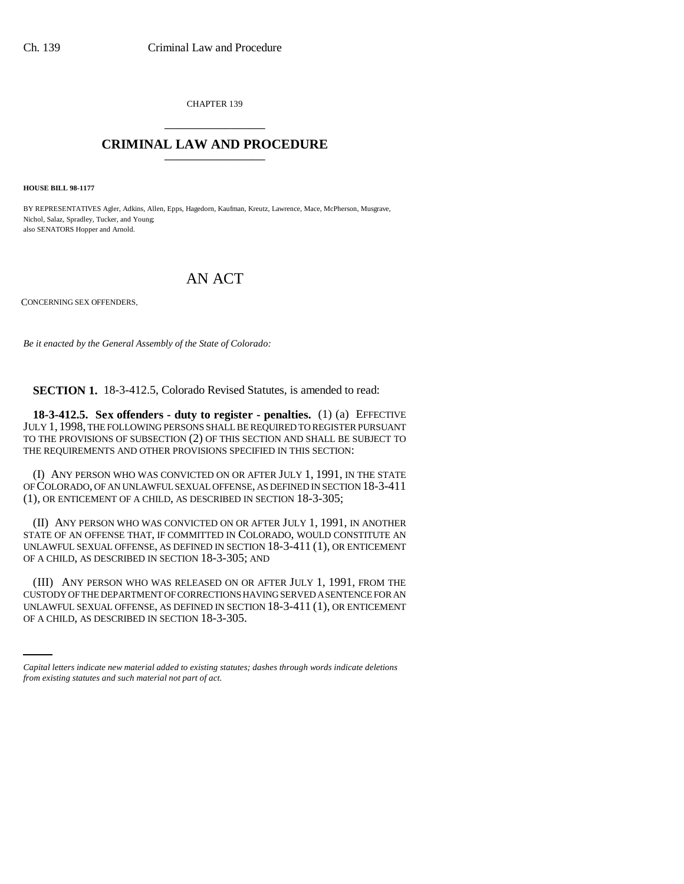CHAPTER 139 \_\_\_\_\_\_\_\_\_\_\_\_\_\_\_

## **CRIMINAL LAW AND PROCEDURE** \_\_\_\_\_\_\_\_\_\_\_\_\_\_\_

**HOUSE BILL 98-1177**

BY REPRESENTATIVES Agler, Adkins, Allen, Epps, Hagedorn, Kaufman, Kreutz, Lawrence, Mace, McPherson, Musgrave, Nichol, Salaz, Spradley, Tucker, and Young; also SENATORS Hopper and Arnold.

# AN ACT

CONCERNING SEX OFFENDERS.

*Be it enacted by the General Assembly of the State of Colorado:*

**SECTION 1.** 18-3-412.5, Colorado Revised Statutes, is amended to read:

**18-3-412.5. Sex offenders - duty to register - penalties.** (1) (a) EFFECTIVE JULY 1, 1998, THE FOLLOWING PERSONS SHALL BE REQUIRED TO REGISTER PURSUANT TO THE PROVISIONS OF SUBSECTION (2) OF THIS SECTION AND SHALL BE SUBJECT TO THE REQUIREMENTS AND OTHER PROVISIONS SPECIFIED IN THIS SECTION:

(I) ANY PERSON WHO WAS CONVICTED ON OR AFTER JULY 1, 1991, IN THE STATE OF COLORADO, OF AN UNLAWFUL SEXUAL OFFENSE, AS DEFINED IN SECTION 18-3-411 (1), OR ENTICEMENT OF A CHILD, AS DESCRIBED IN SECTION 18-3-305;

(II) ANY PERSON WHO WAS CONVICTED ON OR AFTER JULY 1, 1991, IN ANOTHER STATE OF AN OFFENSE THAT, IF COMMITTED IN COLORADO, WOULD CONSTITUTE AN UNLAWFUL SEXUAL OFFENSE, AS DEFINED IN SECTION 18-3-411 (1), OR ENTICEMENT OF A CHILD, AS DESCRIBED IN SECTION 18-3-305; AND

CUSTODY OF THE DEPARTMENT OF CORRECTIONS HAVING SERVED A SENTENCE FOR AN (III) ANY PERSON WHO WAS RELEASED ON OR AFTER JULY 1, 1991, FROM THE UNLAWFUL SEXUAL OFFENSE, AS DEFINED IN SECTION 18-3-411 (1), OR ENTICEMENT OF A CHILD, AS DESCRIBED IN SECTION 18-3-305.

*Capital letters indicate new material added to existing statutes; dashes through words indicate deletions from existing statutes and such material not part of act.*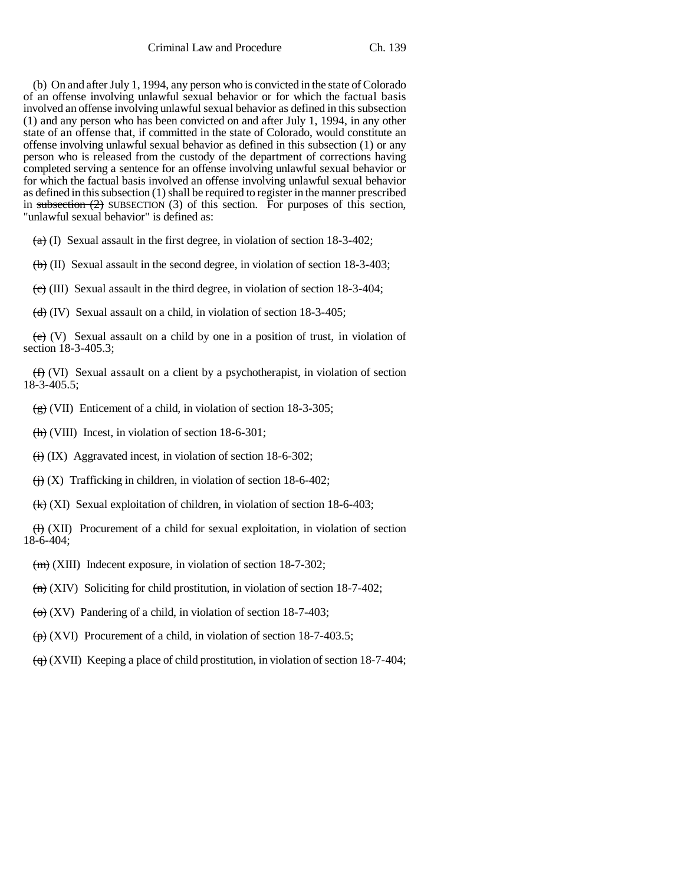(b) On and after July 1, 1994, any person who is convicted in the state of Colorado of an offense involving unlawful sexual behavior or for which the factual basis involved an offense involving unlawful sexual behavior as defined in this subsection (1) and any person who has been convicted on and after July 1, 1994, in any other state of an offense that, if committed in the state of Colorado, would constitute an offense involving unlawful sexual behavior as defined in this subsection (1) or any person who is released from the custody of the department of corrections having completed serving a sentence for an offense involving unlawful sexual behavior or for which the factual basis involved an offense involving unlawful sexual behavior as defined in this subsection (1) shall be required to register in the manner prescribed in subsection  $(2)$  SUBSECTION  $(3)$  of this section. For purposes of this section, "unlawful sexual behavior" is defined as:

 $(a)$  (I) Sexual assault in the first degree, in violation of section 18-3-402;

 $\left(\frac{b}{b}\right)$  (II) Sexual assault in the second degree, in violation of section 18-3-403;

 $\left(\frac{1}{\epsilon}\right)$  (III) Sexual assault in the third degree, in violation of section 18-3-404;

 $(d)$  (IV) Sexual assault on a child, in violation of section 18-3-405;

 $(e)$  (V) Sexual assault on a child by one in a position of trust, in violation of section 18-3-405.3;

 $(f)$  (VI) Sexual assault on a client by a psychotherapist, in violation of section 18-3-405.5;

 $\left(\frac{e}{g}\right)$  (VII) Enticement of a child, in violation of section 18-3-305;

 $\frac{h}{\hbar}$  (VIII) Incest, in violation of section 18-6-301;

 $\overleftrightarrow{(ii)}$  (IX) Aggravated incest, in violation of section 18-6-302;

 $\leftrightarrow$  (X) Trafficking in children, in violation of section 18-6-402;

(k) (XI) Sexual exploitation of children, in violation of section 18-6-403;

 $(H)$  (XII) Procurement of a child for sexual exploitation, in violation of section 18-6-404;

 $(m)$  (XIII) Indecent exposure, in violation of section 18-7-302;

 $\overline{(n)}$  (XIV) Soliciting for child prostitution, in violation of section 18-7-402;

 $\left(\Theta\right)$  (XV) Pandering of a child, in violation of section 18-7-403;

 $\overline{(p)}$  (XVI) Procurement of a child, in violation of section 18-7-403.5;

 $\left(\frac{\mathbf{q}}{\mathbf{q}}\right)$  (XVII) Keeping a place of child prostitution, in violation of section 18-7-404;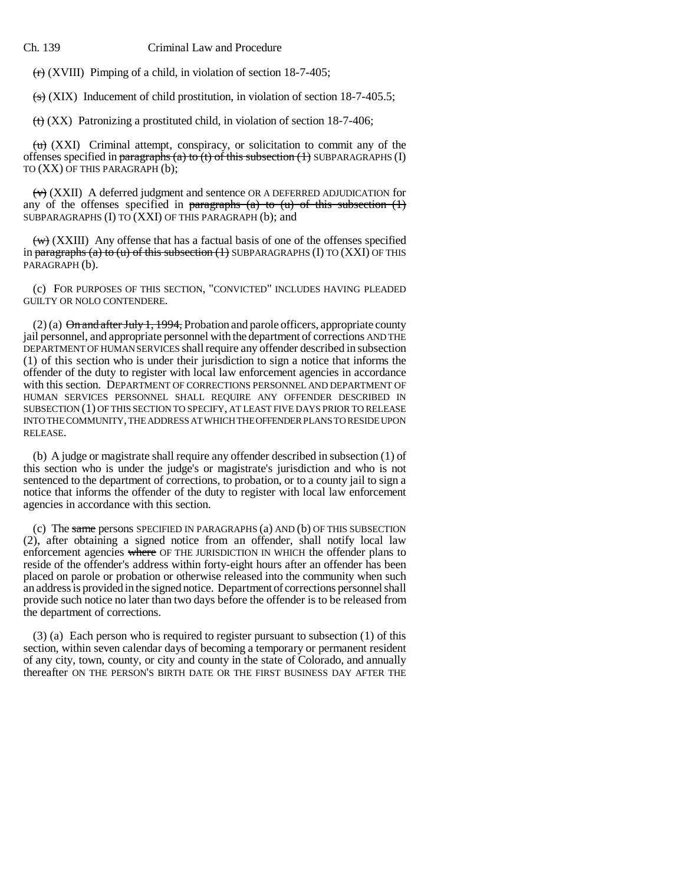$\overline{(r)}$  (XVIII) Pimping of a child, in violation of section 18-7-405;

 $\overline{(s)}$  (XIX) Inducement of child prostitution, in violation of section 18-7-405.5;

 $\left(\text{t}\right)$  (XX) Patronizing a prostituted child, in violation of section 18-7-406;

 $\overline{(u)}$  (XXI) Criminal attempt, conspiracy, or solicitation to commit any of the offenses specified in paragraphs (a) to (t) of this subsection  $(1)$  SUBPARAGRAPHS (I) TO (XX) OF THIS PARAGRAPH (b);

 $\forall$  (XXII) A deferred judgment and sentence OR A DEFERRED ADJUDICATION for any of the offenses specified in paragraphs (a) to (u) of this subsection  $(1)$ SUBPARAGRAPHS (I) TO (XXI) OF THIS PARAGRAPH (b); and

 $\overline{(w)}$  (XXIII) Any offense that has a factual basis of one of the offenses specified in paragraphs (a) to (u) of this subsection (1) SUBPARAGRAPHS (I) TO  $(XXI)$  OF THIS PARAGRAPH (b).

(c) FOR PURPOSES OF THIS SECTION, "CONVICTED" INCLUDES HAVING PLEADED GUILTY OR NOLO CONTENDERE.

 $(2)$  (a)  $\Theta$ n and after July 1, 1994, Probation and parole officers, appropriate county jail personnel, and appropriate personnel with the department of corrections AND THE DEPARTMENT OF HUMAN SERVICES shall require any offender described in subsection (1) of this section who is under their jurisdiction to sign a notice that informs the offender of the duty to register with local law enforcement agencies in accordance with this section. DEPARTMENT OF CORRECTIONS PERSONNEL AND DEPARTMENT OF HUMAN SERVICES PERSONNEL SHALL REQUIRE ANY OFFENDER DESCRIBED IN SUBSECTION (1) OF THIS SECTION TO SPECIFY, AT LEAST FIVE DAYS PRIOR TO RELEASE INTO THE COMMUNITY, THE ADDRESS AT WHICH THE OFFENDER PLANS TO RESIDE UPON RELEASE.

(b) A judge or magistrate shall require any offender described in subsection (1) of this section who is under the judge's or magistrate's jurisdiction and who is not sentenced to the department of corrections, to probation, or to a county jail to sign a notice that informs the offender of the duty to register with local law enforcement agencies in accordance with this section.

(c) The same persons SPECIFIED IN PARAGRAPHS (a) AND (b) OF THIS SUBSECTION (2), after obtaining a signed notice from an offender, shall notify local law enforcement agencies where OF THE JURISDICTION IN WHICH the offender plans to reside of the offender's address within forty-eight hours after an offender has been placed on parole or probation or otherwise released into the community when such an address is provided in the signed notice. Department of corrections personnel shall provide such notice no later than two days before the offender is to be released from the department of corrections.

(3) (a) Each person who is required to register pursuant to subsection (1) of this section, within seven calendar days of becoming a temporary or permanent resident of any city, town, county, or city and county in the state of Colorado, and annually thereafter ON THE PERSON'S BIRTH DATE OR THE FIRST BUSINESS DAY AFTER THE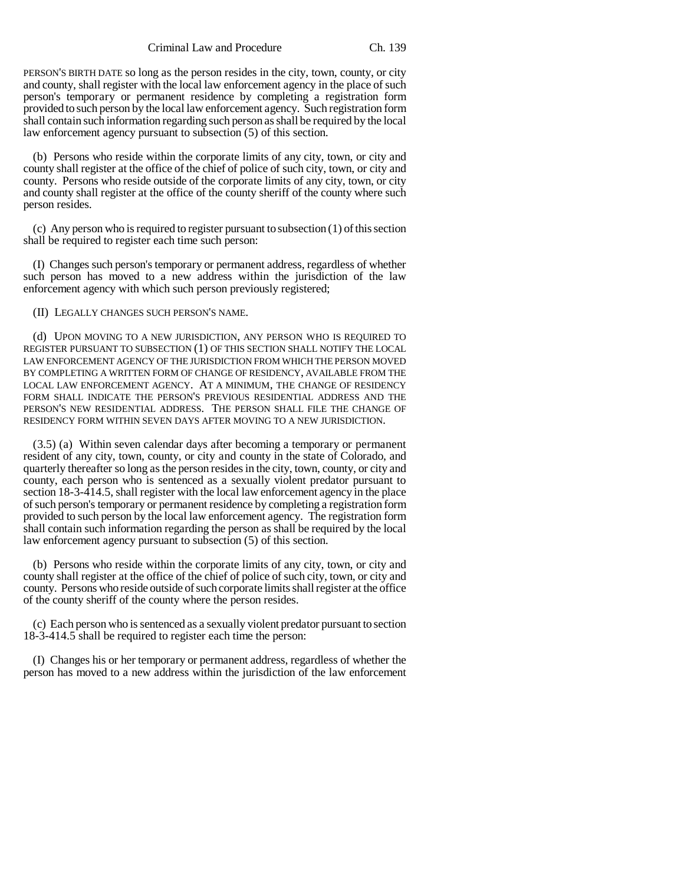Criminal Law and Procedure Ch. 139

PERSON'S BIRTH DATE so long as the person resides in the city, town, county, or city and county, shall register with the local law enforcement agency in the place of such person's temporary or permanent residence by completing a registration form provided to such person by the local law enforcement agency. Such registration form shall contain such information regarding such person as shall be required by the local law enforcement agency pursuant to subsection (5) of this section.

(b) Persons who reside within the corporate limits of any city, town, or city and county shall register at the office of the chief of police of such city, town, or city and county. Persons who reside outside of the corporate limits of any city, town, or city and county shall register at the office of the county sheriff of the county where such person resides.

(c) Any person who is required to register pursuant to subsection (1) of this section shall be required to register each time such person:

(I) Changes such person's temporary or permanent address, regardless of whether such person has moved to a new address within the jurisdiction of the law enforcement agency with which such person previously registered;

(II) LEGALLY CHANGES SUCH PERSON'S NAME.

(d) UPON MOVING TO A NEW JURISDICTION, ANY PERSON WHO IS REQUIRED TO REGISTER PURSUANT TO SUBSECTION (1) OF THIS SECTION SHALL NOTIFY THE LOCAL LAW ENFORCEMENT AGENCY OF THE JURISDICTION FROM WHICH THE PERSON MOVED BY COMPLETING A WRITTEN FORM OF CHANGE OF RESIDENCY, AVAILABLE FROM THE LOCAL LAW ENFORCEMENT AGENCY. AT A MINIMUM, THE CHANGE OF RESIDENCY FORM SHALL INDICATE THE PERSON'S PREVIOUS RESIDENTIAL ADDRESS AND THE PERSON'S NEW RESIDENTIAL ADDRESS. THE PERSON SHALL FILE THE CHANGE OF RESIDENCY FORM WITHIN SEVEN DAYS AFTER MOVING TO A NEW JURISDICTION.

(3.5) (a) Within seven calendar days after becoming a temporary or permanent resident of any city, town, county, or city and county in the state of Colorado, and quarterly thereafter so long as the person resides in the city, town, county, or city and county, each person who is sentenced as a sexually violent predator pursuant to section 18-3-414.5, shall register with the local law enforcement agency in the place of such person's temporary or permanent residence by completing a registration form provided to such person by the local law enforcement agency. The registration form shall contain such information regarding the person as shall be required by the local law enforcement agency pursuant to subsection (5) of this section.

(b) Persons who reside within the corporate limits of any city, town, or city and county shall register at the office of the chief of police of such city, town, or city and county. Persons who reside outside of such corporate limits shall register at the office of the county sheriff of the county where the person resides.

(c) Each person who is sentenced as a sexually violent predator pursuant to section 18-3-414.5 shall be required to register each time the person:

(I) Changes his or her temporary or permanent address, regardless of whether the person has moved to a new address within the jurisdiction of the law enforcement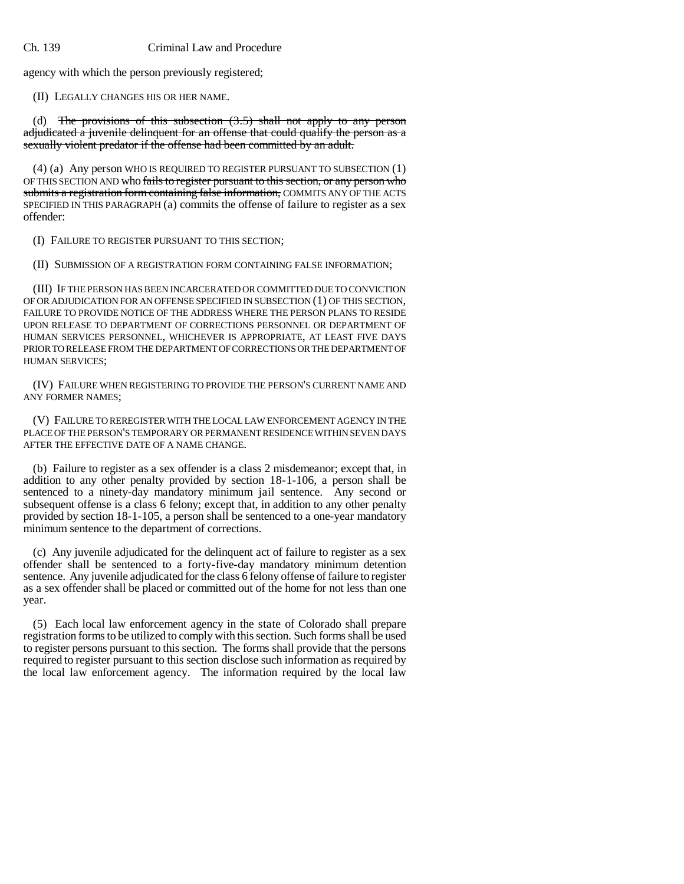agency with which the person previously registered;

(II) LEGALLY CHANGES HIS OR HER NAME.

The provisions of this subsection  $(3.5)$  shall not apply to any person adjudicated a juvenile delinquent for an offense that could qualify the person as a sexually violent predator if the offense had been committed by an adult.

(4) (a) Any person WHO IS REQUIRED TO REGISTER PURSUANT TO SUBSECTION (1) OF THIS SECTION AND who fails to register pursuant to this section, or any person who submits a registration form containing false information, COMMITS ANY OF THE ACTS SPECIFIED IN THIS PARAGRAPH (a) commits the offense of failure to register as a sex offender:

(I) FAILURE TO REGISTER PURSUANT TO THIS SECTION;

(II) SUBMISSION OF A REGISTRATION FORM CONTAINING FALSE INFORMATION;

(III) IF THE PERSON HAS BEEN INCARCERATED OR COMMITTED DUE TO CONVICTION OF OR ADJUDICATION FOR AN OFFENSE SPECIFIED IN SUBSECTION (1) OF THIS SECTION, FAILURE TO PROVIDE NOTICE OF THE ADDRESS WHERE THE PERSON PLANS TO RESIDE UPON RELEASE TO DEPARTMENT OF CORRECTIONS PERSONNEL OR DEPARTMENT OF HUMAN SERVICES PERSONNEL, WHICHEVER IS APPROPRIATE, AT LEAST FIVE DAYS PRIOR TO RELEASE FROM THE DEPARTMENT OF CORRECTIONS OR THE DEPARTMENT OF HUMAN SERVICES;

(IV) FAILURE WHEN REGISTERING TO PROVIDE THE PERSON'S CURRENT NAME AND ANY FORMER NAMES;

(V) FAILURE TO REREGISTER WITH THE LOCAL LAW ENFORCEMENT AGENCY IN THE PLACE OF THE PERSON'S TEMPORARY OR PERMANENT RESIDENCE WITHIN SEVEN DAYS AFTER THE EFFECTIVE DATE OF A NAME CHANGE.

(b) Failure to register as a sex offender is a class 2 misdemeanor; except that, in addition to any other penalty provided by section 18-1-106, a person shall be sentenced to a ninety-day mandatory minimum jail sentence. Any second or subsequent offense is a class 6 felony; except that, in addition to any other penalty provided by section 18-1-105, a person shall be sentenced to a one-year mandatory minimum sentence to the department of corrections.

(c) Any juvenile adjudicated for the delinquent act of failure to register as a sex offender shall be sentenced to a forty-five-day mandatory minimum detention sentence. Any juvenile adjudicated for the class 6 felony offense of failure to register as a sex offender shall be placed or committed out of the home for not less than one year.

(5) Each local law enforcement agency in the state of Colorado shall prepare registration forms to be utilized to comply with this section. Such forms shall be used to register persons pursuant to this section. The forms shall provide that the persons required to register pursuant to this section disclose such information as required by the local law enforcement agency. The information required by the local law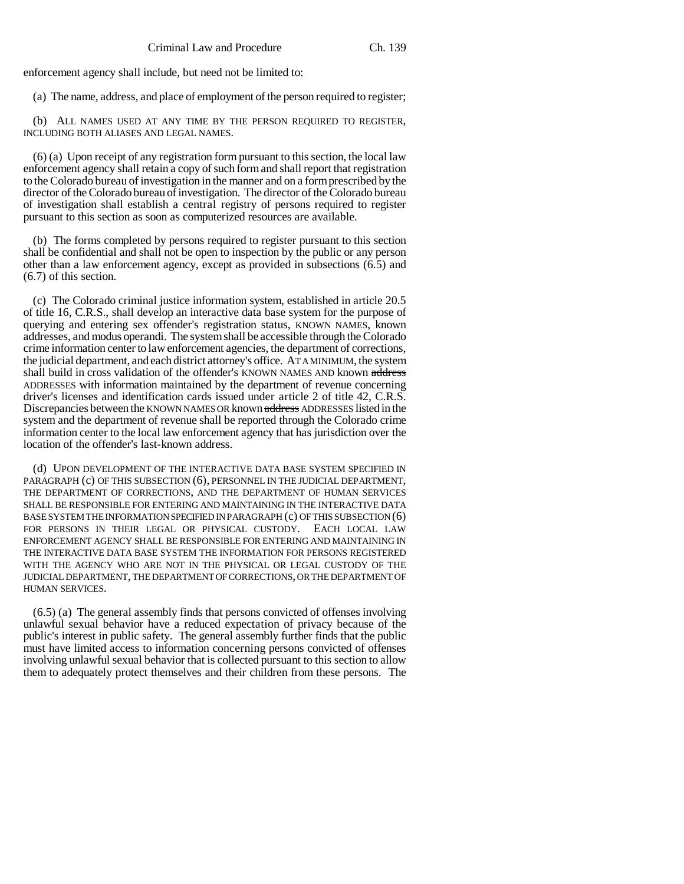enforcement agency shall include, but need not be limited to:

(a) The name, address, and place of employment of the person required to register;

(b) ALL NAMES USED AT ANY TIME BY THE PERSON REQUIRED TO REGISTER, INCLUDING BOTH ALIASES AND LEGAL NAMES.

(6) (a) Upon receipt of any registration form pursuant to this section, the local law enforcement agency shall retain a copy of such form and shall report that registration to the Colorado bureau of investigation in the manner and on a form prescribed by the director of the Colorado bureau of investigation. The director of the Colorado bureau of investigation shall establish a central registry of persons required to register pursuant to this section as soon as computerized resources are available.

(b) The forms completed by persons required to register pursuant to this section shall be confidential and shall not be open to inspection by the public or any person other than a law enforcement agency, except as provided in subsections (6.5) and (6.7) of this section.

(c) The Colorado criminal justice information system, established in article 20.5 of title 16, C.R.S., shall develop an interactive data base system for the purpose of querying and entering sex offender's registration status, KNOWN NAMES, known addresses, and modus operandi. The system shall be accessible through the Colorado crime information center to law enforcement agencies, the department of corrections, the judicial department, and each district attorney's office. AT A MINIMUM, the system shall build in cross validation of the offender's KNOWN NAMES AND known address ADDRESSES with information maintained by the department of revenue concerning driver's licenses and identification cards issued under article 2 of title 42, C.R.S. Discrepancies between the KNOWN NAMES OR known address ADDRESSES listed in the system and the department of revenue shall be reported through the Colorado crime information center to the local law enforcement agency that has jurisdiction over the location of the offender's last-known address.

(d) UPON DEVELOPMENT OF THE INTERACTIVE DATA BASE SYSTEM SPECIFIED IN PARAGRAPH (c) OF THIS SUBSECTION (6), PERSONNEL IN THE JUDICIAL DEPARTMENT, THE DEPARTMENT OF CORRECTIONS, AND THE DEPARTMENT OF HUMAN SERVICES SHALL BE RESPONSIBLE FOR ENTERING AND MAINTAINING IN THE INTERACTIVE DATA BASE SYSTEM THE INFORMATION SPECIFIED IN PARAGRAPH (c) OF THIS SUBSECTION (6) FOR PERSONS IN THEIR LEGAL OR PHYSICAL CUSTODY. EACH LOCAL LAW ENFORCEMENT AGENCY SHALL BE RESPONSIBLE FOR ENTERING AND MAINTAINING IN THE INTERACTIVE DATA BASE SYSTEM THE INFORMATION FOR PERSONS REGISTERED WITH THE AGENCY WHO ARE NOT IN THE PHYSICAL OR LEGAL CUSTODY OF THE JUDICIAL DEPARTMENT, THE DEPARTMENT OF CORRECTIONS, OR THE DEPARTMENT OF HUMAN SERVICES.

(6.5) (a) The general assembly finds that persons convicted of offenses involving unlawful sexual behavior have a reduced expectation of privacy because of the public's interest in public safety. The general assembly further finds that the public must have limited access to information concerning persons convicted of offenses involving unlawful sexual behavior that is collected pursuant to this section to allow them to adequately protect themselves and their children from these persons. The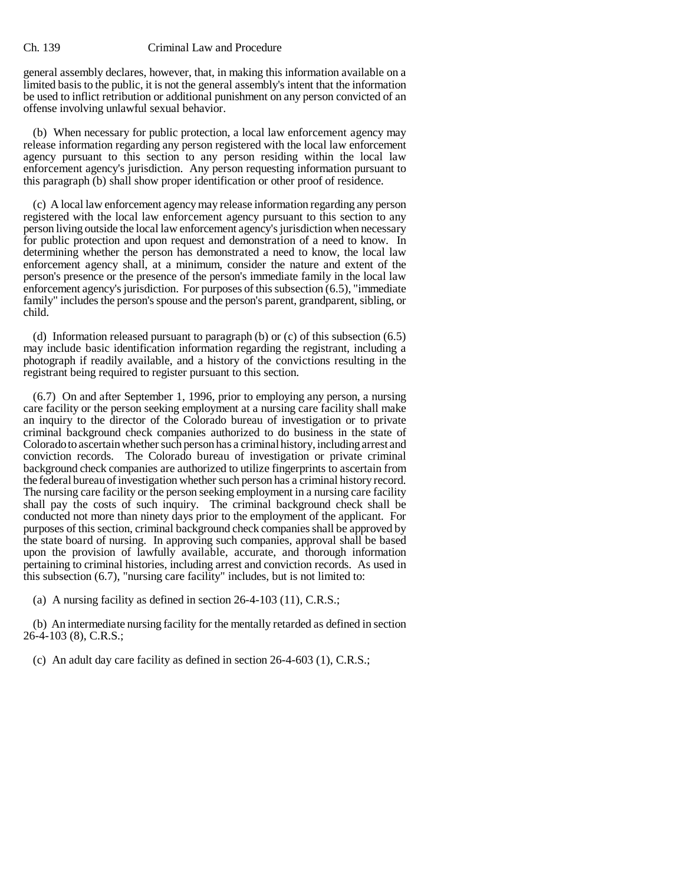general assembly declares, however, that, in making this information available on a limited basis to the public, it is not the general assembly's intent that the information be used to inflict retribution or additional punishment on any person convicted of an offense involving unlawful sexual behavior.

(b) When necessary for public protection, a local law enforcement agency may release information regarding any person registered with the local law enforcement agency pursuant to this section to any person residing within the local law enforcement agency's jurisdiction. Any person requesting information pursuant to this paragraph (b) shall show proper identification or other proof of residence.

(c) A local law enforcement agency may release information regarding any person registered with the local law enforcement agency pursuant to this section to any person living outside the local law enforcement agency's jurisdiction when necessary for public protection and upon request and demonstration of a need to know. In determining whether the person has demonstrated a need to know, the local law enforcement agency shall, at a minimum, consider the nature and extent of the person's presence or the presence of the person's immediate family in the local law enforcement agency's jurisdiction. For purposes of this subsection (6.5), "immediate family" includes the person's spouse and the person's parent, grandparent, sibling, or child.

(d) Information released pursuant to paragraph (b) or (c) of this subsection (6.5) may include basic identification information regarding the registrant, including a photograph if readily available, and a history of the convictions resulting in the registrant being required to register pursuant to this section.

(6.7) On and after September 1, 1996, prior to employing any person, a nursing care facility or the person seeking employment at a nursing care facility shall make an inquiry to the director of the Colorado bureau of investigation or to private criminal background check companies authorized to do business in the state of Colorado to ascertain whether such person has a criminal history, including arrest and conviction records. The Colorado bureau of investigation or private criminal background check companies are authorized to utilize fingerprints to ascertain from the federal bureau of investigation whether such person has a criminal history record. The nursing care facility or the person seeking employment in a nursing care facility shall pay the costs of such inquiry. The criminal background check shall be conducted not more than ninety days prior to the employment of the applicant. For purposes of this section, criminal background check companies shall be approved by the state board of nursing. In approving such companies, approval shall be based upon the provision of lawfully available, accurate, and thorough information pertaining to criminal histories, including arrest and conviction records. As used in this subsection (6.7), "nursing care facility" includes, but is not limited to:

(a) A nursing facility as defined in section 26-4-103 (11), C.R.S.;

(b) An intermediate nursing facility for the mentally retarded as defined in section 26-4-103 (8), C.R.S.;

(c) An adult day care facility as defined in section 26-4-603 (1), C.R.S.;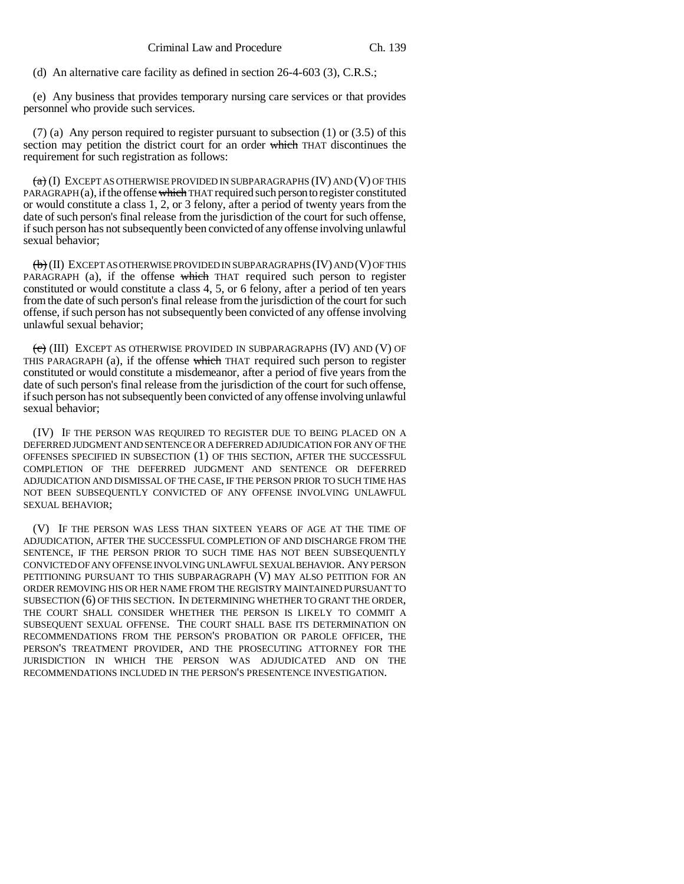(d) An alternative care facility as defined in section 26-4-603 (3), C.R.S.;

(e) Any business that provides temporary nursing care services or that provides personnel who provide such services.

(7) (a) Any person required to register pursuant to subsection (1) or (3.5) of this section may petition the district court for an order which THAT discontinues the requirement for such registration as follows:

 $\overline{a}$  (I) EXCEPT AS OTHERWISE PROVIDED IN SUBPARAGRAPHS (IV) AND (V) OF THIS PARAGRAPH $(a)$ , if the offense which THAT required such person to register constituted or would constitute a class 1, 2, or 3 felony, after a period of twenty years from the date of such person's final release from the jurisdiction of the court for such offense, if such person has not subsequently been convicted of any offense involving unlawful sexual behavior;

 $\langle \overline{\Theta} \rangle$  (II) EXCEPT AS OTHERWISE PROVIDED IN SUBPARAGRAPHS (IV) AND (V) OF THIS PARAGRAPH (a), if the offense which THAT required such person to register constituted or would constitute a class 4, 5, or 6 felony, after a period of ten years from the date of such person's final release from the jurisdiction of the court for such offense, if such person has not subsequently been convicted of any offense involving unlawful sexual behavior;

(c) (III) EXCEPT AS OTHERWISE PROVIDED IN SUBPARAGRAPHS (IV) AND (V) OF THIS PARAGRAPH (a), if the offense which THAT required such person to register constituted or would constitute a misdemeanor, after a period of five years from the date of such person's final release from the jurisdiction of the court for such offense, if such person has not subsequently been convicted of any offense involving unlawful sexual behavior;

(IV) IF THE PERSON WAS REQUIRED TO REGISTER DUE TO BEING PLACED ON A DEFERRED JUDGMENT AND SENTENCE OR A DEFERRED ADJUDICATION FOR ANY OF THE OFFENSES SPECIFIED IN SUBSECTION (1) OF THIS SECTION, AFTER THE SUCCESSFUL COMPLETION OF THE DEFERRED JUDGMENT AND SENTENCE OR DEFERRED ADJUDICATION AND DISMISSAL OF THE CASE, IF THE PERSON PRIOR TO SUCH TIME HAS NOT BEEN SUBSEQUENTLY CONVICTED OF ANY OFFENSE INVOLVING UNLAWFUL SEXUAL BEHAVIOR;

(V) IF THE PERSON WAS LESS THAN SIXTEEN YEARS OF AGE AT THE TIME OF ADJUDICATION, AFTER THE SUCCESSFUL COMPLETION OF AND DISCHARGE FROM THE SENTENCE, IF THE PERSON PRIOR TO SUCH TIME HAS NOT BEEN SUBSEQUENTLY CONVICTED OF ANY OFFENSE INVOLVING UNLAWFUL SEXUAL BEHAVIOR. ANY PERSON PETITIONING PURSUANT TO THIS SUBPARAGRAPH (V) MAY ALSO PETITION FOR AN ORDER REMOVING HIS OR HER NAME FROM THE REGISTRY MAINTAINED PURSUANT TO SUBSECTION (6) OF THIS SECTION. IN DETERMINING WHETHER TO GRANT THE ORDER, THE COURT SHALL CONSIDER WHETHER THE PERSON IS LIKELY TO COMMIT A SUBSEQUENT SEXUAL OFFENSE. THE COURT SHALL BASE ITS DETERMINATION ON RECOMMENDATIONS FROM THE PERSON'S PROBATION OR PAROLE OFFICER, THE PERSON'S TREATMENT PROVIDER, AND THE PROSECUTING ATTORNEY FOR THE JURISDICTION IN WHICH THE PERSON WAS ADJUDICATED AND ON THE RECOMMENDATIONS INCLUDED IN THE PERSON'S PRESENTENCE INVESTIGATION.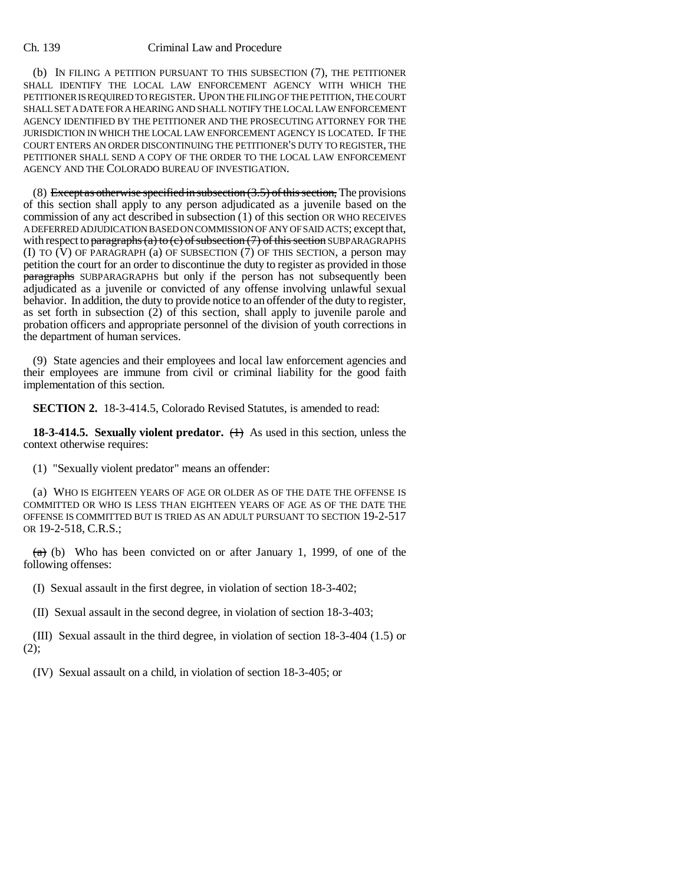(b) IN FILING A PETITION PURSUANT TO THIS SUBSECTION (7), THE PETITIONER SHALL IDENTIFY THE LOCAL LAW ENFORCEMENT AGENCY WITH WHICH THE PETITIONER IS REQUIRED TO REGISTER. UPON THE FILING OF THE PETITION, THE COURT SHALL SET A DATE FOR A HEARING AND SHALL NOTIFY THE LOCAL LAW ENFORCEMENT AGENCY IDENTIFIED BY THE PETITIONER AND THE PROSECUTING ATTORNEY FOR THE JURISDICTION IN WHICH THE LOCAL LAW ENFORCEMENT AGENCY IS LOCATED. IF THE COURT ENTERS AN ORDER DISCONTINUING THE PETITIONER'S DUTY TO REGISTER, THE PETITIONER SHALL SEND A COPY OF THE ORDER TO THE LOCAL LAW ENFORCEMENT AGENCY AND THE COLORADO BUREAU OF INVESTIGATION.

(8) Except as otherwise specified in subsection  $(3.5)$  of this section, The provisions of this section shall apply to any person adjudicated as a juvenile based on the commission of any act described in subsection (1) of this section OR WHO RECEIVES A DEFERRED ADJUDICATION BASED ON COMMISSION OF ANY OF SAID ACTS; except that, with respect to paragraphs (a) to (c) of subsection (7) of this section SUBPARAGRAPHS (I) TO  $(V)$  OF PARAGRAPH (a) OF SUBSECTION (7) OF THIS SECTION, a person may petition the court for an order to discontinue the duty to register as provided in those **paragraphs** SUBPARAGRAPHS but only if the person has not subsequently been adjudicated as a juvenile or convicted of any offense involving unlawful sexual behavior. In addition, the duty to provide notice to an offender of the duty to register, as set forth in subsection (2) of this section, shall apply to juvenile parole and probation officers and appropriate personnel of the division of youth corrections in the department of human services.

(9) State agencies and their employees and local law enforcement agencies and their employees are immune from civil or criminal liability for the good faith implementation of this section.

**SECTION 2.** 18-3-414.5, Colorado Revised Statutes, is amended to read:

**18-3-414.5. Sexually violent predator.** (**1)** As used in this section, unless the context otherwise requires:

(1) "Sexually violent predator" means an offender:

(a) WHO IS EIGHTEEN YEARS OF AGE OR OLDER AS OF THE DATE THE OFFENSE IS COMMITTED OR WHO IS LESS THAN EIGHTEEN YEARS OF AGE AS OF THE DATE THE OFFENSE IS COMMITTED BUT IS TRIED AS AN ADULT PURSUANT TO SECTION 19-2-517 OR 19-2-518, C.R.S.;

 $(a)$  (b) Who has been convicted on or after January 1, 1999, of one of the following offenses:

(I) Sexual assault in the first degree, in violation of section 18-3-402;

(II) Sexual assault in the second degree, in violation of section 18-3-403;

(III) Sexual assault in the third degree, in violation of section 18-3-404 (1.5) or  $(2);$ 

(IV) Sexual assault on a child, in violation of section 18-3-405; or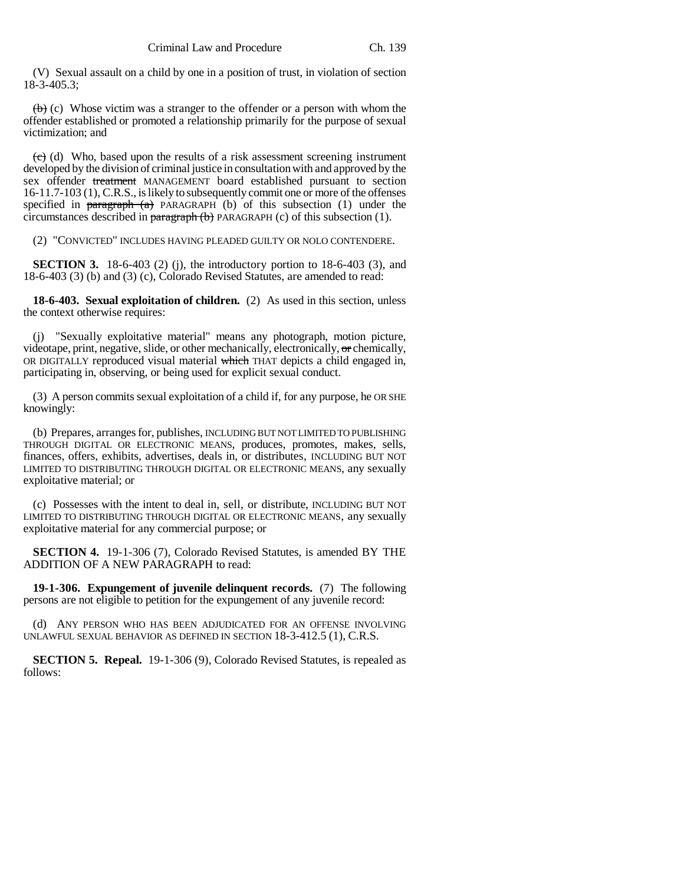(V) Sexual assault on a child by one in a position of trust, in violation of section 18-3-405.3;

 $\leftrightarrow$  (c) Whose victim was a stranger to the offender or a person with whom the offender established or promoted a relationship primarily for the purpose of sexual victimization; and

 $(e)$  (d) Who, based upon the results of a risk assessment screening instrument developed by the division of criminal justice in consultation with and approved by the sex offender treatment MANAGEMENT board established pursuant to section 16-11.7-103 (1), C.R.S., is likely to subsequently commit one or more of the offenses specified in paragraph  $(a)$  PARAGRAPH (b) of this subsection (1) under the circumstances described in paragraph (b) PARAGRAPH (c) of this subsection (1).

(2) "CONVICTED" INCLUDES HAVING PLEADED GUILTY OR NOLO CONTENDERE.

**SECTION 3.** 18-6-403 (2) (j), the introductory portion to 18-6-403 (3), and 18-6-403 (3) (b) and (3) (c), Colorado Revised Statutes, are amended to read:

**18-6-403. Sexual exploitation of children.** (2) As used in this section, unless the context otherwise requires:

(j) "Sexually exploitative material" means any photograph, motion picture, videotape, print, negative, slide, or other mechanically, electronically, or chemically, OR DIGITALLY reproduced visual material which THAT depicts a child engaged in, participating in, observing, or being used for explicit sexual conduct.

(3) A person commits sexual exploitation of a child if, for any purpose, he OR SHE knowingly:

(b) Prepares, arranges for, publishes, INCLUDING BUT NOT LIMITED TO PUBLISHING THROUGH DIGITAL OR ELECTRONIC MEANS, produces, promotes, makes, sells, finances, offers, exhibits, advertises, deals in, or distributes, INCLUDING BUT NOT LIMITED TO DISTRIBUTING THROUGH DIGITAL OR ELECTRONIC MEANS, any sexually exploitative material; or

(c) Possesses with the intent to deal in, sell, or distribute, INCLUDING BUT NOT LIMITED TO DISTRIBUTING THROUGH DIGITAL OR ELECTRONIC MEANS, any sexually exploitative material for any commercial purpose; or

**SECTION 4.** 19-1-306 (7), Colorado Revised Statutes, is amended BY THE ADDITION OF A NEW PARAGRAPH to read:

**19-1-306. Expungement of juvenile delinquent records.** (7) The following persons are not eligible to petition for the expungement of any juvenile record:

(d) ANY PERSON WHO HAS BEEN ADJUDICATED FOR AN OFFENSE INVOLVING UNLAWFUL SEXUAL BEHAVIOR AS DEFINED IN SECTION 18-3-412.5 (1), C.R.S.

**SECTION 5. Repeal.** 19-1-306 (9), Colorado Revised Statutes, is repealed as follows: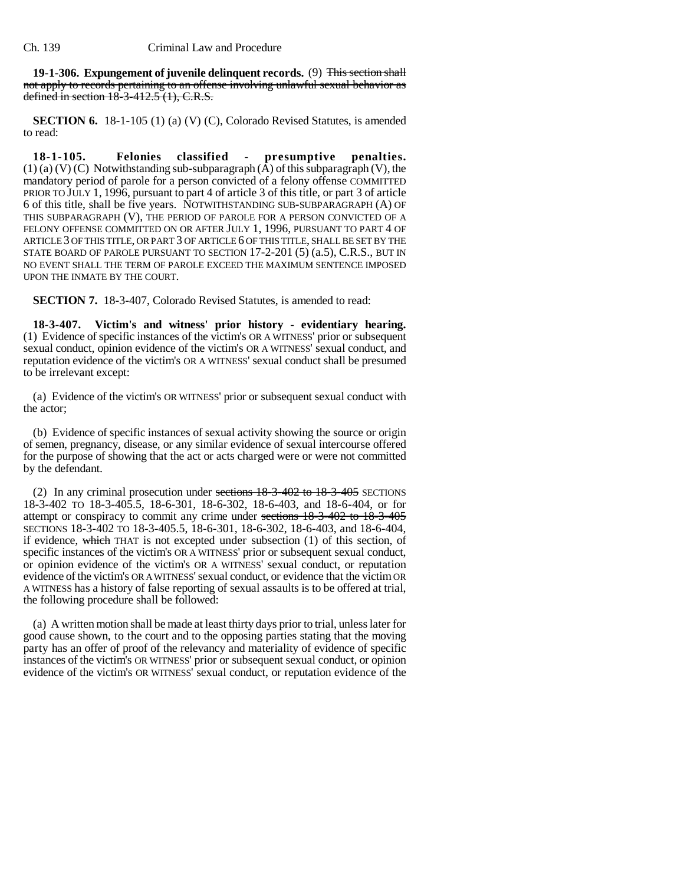**19-1-306. Expungement of juvenile delinquent records.** (9) This section shall not apply to records pertaining to an offense involving unlawful sexual behavior as defined in section 18-3-412.5 (1), C.R.S.

**SECTION 6.** 18-1-105 (1) (a) (V) (C), Colorado Revised Statutes, is amended to read:

**18-1-105. Felonies classified - presumptive penalties.**  $(1)$  (a) (V) (C) Notwithstanding sub-subparagraph  $(\overline{A})$  of this subparagraph (V), the mandatory period of parole for a person convicted of a felony offense COMMITTED PRIOR TO JULY 1, 1996, pursuant to part 4 of article 3 of this title, or part 3 of article 6 of this title, shall be five years. NOTWITHSTANDING SUB-SUBPARAGRAPH (A) OF THIS SUBPARAGRAPH (V), THE PERIOD OF PAROLE FOR A PERSON CONVICTED OF A FELONY OFFENSE COMMITTED ON OR AFTER JULY 1, 1996, PURSUANT TO PART 4 OF ARTICLE 3 OF THIS TITLE, OR PART 3 OF ARTICLE 6 OF THIS TITLE, SHALL BE SET BY THE STATE BOARD OF PAROLE PURSUANT TO SECTION 17-2-201 (5) (a.5), C.R.S., BUT IN NO EVENT SHALL THE TERM OF PAROLE EXCEED THE MAXIMUM SENTENCE IMPOSED UPON THE INMATE BY THE COURT.

**SECTION 7.** 18-3-407, Colorado Revised Statutes, is amended to read:

**18-3-407. Victim's and witness' prior history - evidentiary hearing.** (1) Evidence of specific instances of the victim's OR A WITNESS' prior or subsequent sexual conduct, opinion evidence of the victim's OR A WITNESS' sexual conduct, and reputation evidence of the victim's OR A WITNESS' sexual conduct shall be presumed to be irrelevant except:

(a) Evidence of the victim's OR WITNESS' prior or subsequent sexual conduct with the actor;

(b) Evidence of specific instances of sexual activity showing the source or origin of semen, pregnancy, disease, or any similar evidence of sexual intercourse offered for the purpose of showing that the act or acts charged were or were not committed by the defendant.

(2) In any criminal prosecution under sections  $18-3-402$  to  $18-3-405$  SECTIONS 18-3-402 TO 18-3-405.5, 18-6-301, 18-6-302, 18-6-403, and 18-6-404, or for attempt or conspiracy to commit any crime under sections 18-3-402 to 18-3-405 SECTIONS 18-3-402 TO 18-3-405.5, 18-6-301, 18-6-302, 18-6-403, and 18-6-404, if evidence, which THAT is not excepted under subsection (1) of this section, of specific instances of the victim's OR A WITNESS' prior or subsequent sexual conduct, or opinion evidence of the victim's OR A WITNESS' sexual conduct, or reputation evidence of the victim's OR A WITNESS' sexual conduct, or evidence that the victim OR A WITNESS has a history of false reporting of sexual assaults is to be offered at trial, the following procedure shall be followed:

(a) A written motion shall be made at least thirty days prior to trial, unless later for good cause shown, to the court and to the opposing parties stating that the moving party has an offer of proof of the relevancy and materiality of evidence of specific instances of the victim's OR WITNESS' prior or subsequent sexual conduct, or opinion evidence of the victim's OR WITNESS' sexual conduct, or reputation evidence of the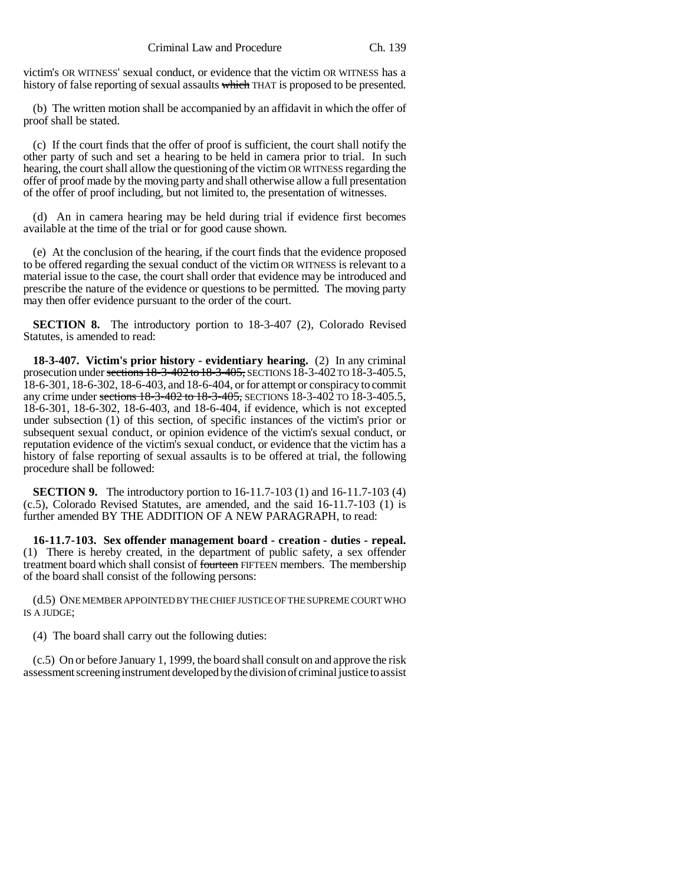victim's OR WITNESS' sexual conduct, or evidence that the victim OR WITNESS has a history of false reporting of sexual assaults which THAT is proposed to be presented.

(b) The written motion shall be accompanied by an affidavit in which the offer of proof shall be stated.

(c) If the court finds that the offer of proof is sufficient, the court shall notify the other party of such and set a hearing to be held in camera prior to trial. In such hearing, the court shall allow the questioning of the victim OR WITNESS regarding the offer of proof made by the moving party and shall otherwise allow a full presentation of the offer of proof including, but not limited to, the presentation of witnesses.

(d) An in camera hearing may be held during trial if evidence first becomes available at the time of the trial or for good cause shown.

(e) At the conclusion of the hearing, if the court finds that the evidence proposed to be offered regarding the sexual conduct of the victim OR WITNESS is relevant to a material issue to the case, the court shall order that evidence may be introduced and prescribe the nature of the evidence or questions to be permitted. The moving party may then offer evidence pursuant to the order of the court.

**SECTION 8.** The introductory portion to 18-3-407 (2), Colorado Revised Statutes, is amended to read:

**18-3-407. Victim's prior history - evidentiary hearing.** (2) In any criminal prosecution under sections 18-3-402 to 18-3-405, SECTIONS 18-3-402 TO 18-3-405.5, 18-6-301, 18-6-302, 18-6-403, and 18-6-404, or for attempt or conspiracy to commit any crime under sections 18-3-402 to 18-3-405, SECTIONS 18-3-402 TO 18-3-405.5, 18-6-301, 18-6-302, 18-6-403, and 18-6-404, if evidence, which is not excepted under subsection (1) of this section, of specific instances of the victim's prior or subsequent sexual conduct, or opinion evidence of the victim's sexual conduct, or reputation evidence of the victim's sexual conduct, or evidence that the victim has a history of false reporting of sexual assaults is to be offered at trial, the following procedure shall be followed:

**SECTION 9.** The introductory portion to 16-11.7-103 (1) and 16-11.7-103 (4) (c.5), Colorado Revised Statutes, are amended, and the said 16-11.7-103 (1) is further amended BY THE ADDITION OF A NEW PARAGRAPH, to read:

**16-11.7-103. Sex offender management board - creation - duties - repeal.** (1) There is hereby created, in the department of public safety, a sex offender treatment board which shall consist of fourteen FIFTEEN members. The membership of the board shall consist of the following persons:

(d.5) ONE MEMBER APPOINTED BY THE CHIEF JUSTICE OF THE SUPREME COURT WHO IS A JUDGE;

(4) The board shall carry out the following duties:

(c.5) On or before January 1, 1999, the board shall consult on and approve the risk assessment screening instrument developed by the division of criminal justice to assist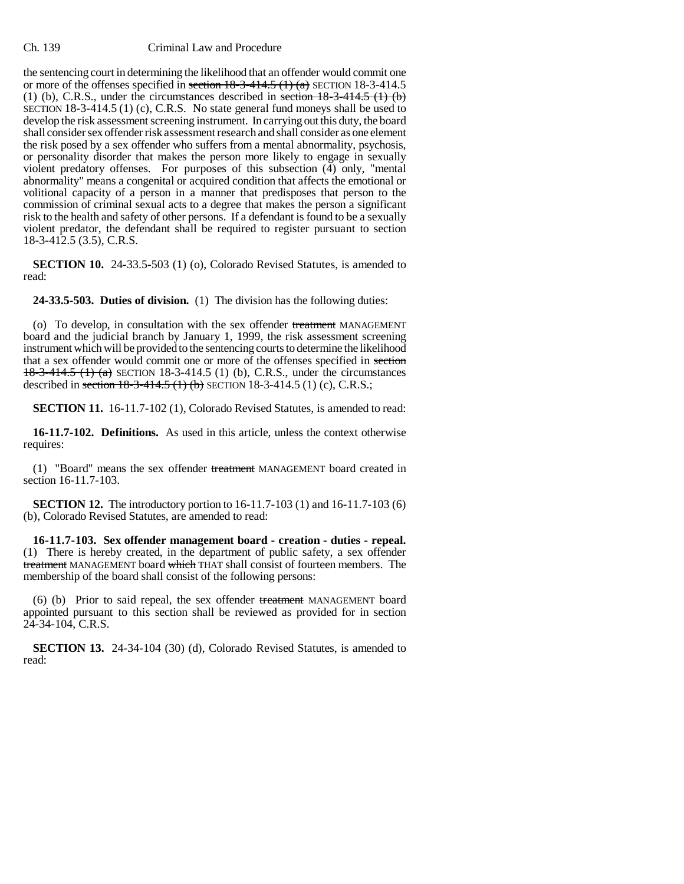the sentencing court in determining the likelihood that an offender would commit one or more of the offenses specified in section  $18-3-414.5$  (1) (a) SECTION 18-3-414.5 (1) (b), C.R.S., under the circumstances described in section  $18-3-414.5$  (1) (b) SECTION 18-3-414.5 (1) (c), C.R.S. No state general fund moneys shall be used to develop the risk assessment screening instrument. In carrying out this duty, the board shall consider sex offender risk assessment research and shall consider as one element the risk posed by a sex offender who suffers from a mental abnormality, psychosis, or personality disorder that makes the person more likely to engage in sexually violent predatory offenses. For purposes of this subsection (4) only, "mental abnormality" means a congenital or acquired condition that affects the emotional or volitional capacity of a person in a manner that predisposes that person to the commission of criminal sexual acts to a degree that makes the person a significant risk to the health and safety of other persons. If a defendant is found to be a sexually violent predator, the defendant shall be required to register pursuant to section 18-3-412.5 (3.5), C.R.S.

**SECTION 10.** 24-33.5-503 (1) (o), Colorado Revised Statutes, is amended to read:

**24-33.5-503. Duties of division.** (1) The division has the following duties:

(o) To develop, in consultation with the sex offender treatment MANAGEMENT board and the judicial branch by January 1, 1999, the risk assessment screening instrument which will be provided to the sentencing courts to determine the likelihood that a sex offender would commit one or more of the offenses specified in section 18-3-414.5 (1) (a) SECTION 18-3-414.5 (1) (b), C.R.S., under the circumstances described in section  $18-3-414.5$  (1) (b) SECTION 18-3-414.5 (1) (c), C.R.S.;

**SECTION 11.** 16-11.7-102 (1), Colorado Revised Statutes, is amended to read:

**16-11.7-102. Definitions.** As used in this article, unless the context otherwise requires:

(1) "Board" means the sex offender treatment MANAGEMENT board created in section 16-11.7-103.

**SECTION 12.** The introductory portion to 16-11.7-103 (1) and 16-11.7-103 (6) (b), Colorado Revised Statutes, are amended to read:

**16-11.7-103. Sex offender management board - creation - duties - repeal.** (1) There is hereby created, in the department of public safety, a sex offender treatment MANAGEMENT board which THAT shall consist of fourteen members. The membership of the board shall consist of the following persons:

(6) (b) Prior to said repeal, the sex offender treatment MANAGEMENT board appointed pursuant to this section shall be reviewed as provided for in section 24-34-104, C.R.S.

**SECTION 13.** 24-34-104 (30) (d), Colorado Revised Statutes, is amended to read: